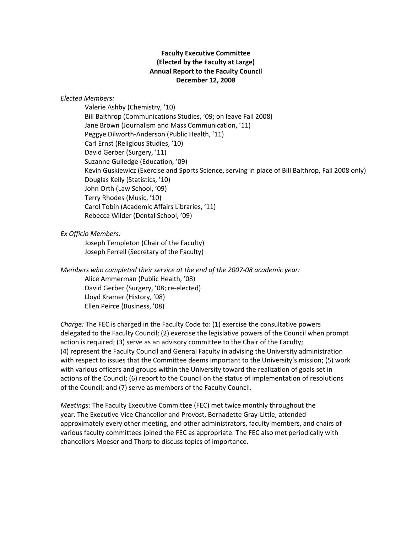## **Faculty Executive Committee (Elected by the Faculty at Large) Annual Report to the Faculty Council December 12, 2008**

## *Elected Members:*

Valerie Ashby (Chemistry, '10) Bill Balthrop (Communications Studies, '09; on leave Fall 2008) Jane Brown (Journalism and Mass Communication, '11) Peggye Dilworth‐Anderson (Public Health, '11) Carl Ernst (Religious Studies, '10) David Gerber (Surgery, '11) Suzanne Gulledge (Education, '09) Kevin Guskiewicz (Exercise and Sports Science, serving in place of Bill Balthrop, Fall 2008 only) Douglas Kelly (Statistics, '10) John Orth (Law School, '09) Terry Rhodes (Music, '10) Carol Tobin (Academic Affairs Libraries, '11) Rebecca Wilder (Dental School, '09)

## *Ex Officio Members:*

Joseph Templeton (Chair of the Faculty) Joseph Ferrell (Secretary of the Faculty)

*Members who completed their service at the end of the 2007‐08 academic year:* Alice Ammerman (Public Health, '08) David Gerber (Surgery, '08; re‐elected) Lloyd Kramer (History, '08) Ellen Peirce (Business, '08)

*Charge:* The FEC is charged in the Faculty Code to: (1) exercise the consultative powers delegated to the Faculty Council; (2) exercise the legislative powers of the Council when prompt action is required; (3) serve as an advisory committee to the Chair of the Faculty; (4) represent the Faculty Council and General Faculty in advising the University administration with respect to issues that the Committee deems important to the University's mission; (5) work with various officers and groups within the University toward the realization of goals set in actions of the Council; (6) report to the Council on the status of implementation of resolutions of the Council; and (7) serve as members of the Faculty Council.

*Meetings:* The Faculty Executive Committee (FEC) met twice monthly throughout the year. The Executive Vice Chancellor and Provost, Bernadette Gray‐Little, attended approximately every other meeting, and other administrators, faculty members, and chairs of various faculty committees joined the FEC as appropriate. The FEC also met periodically with chancellors Moeser and Thorp to discuss topics of importance.